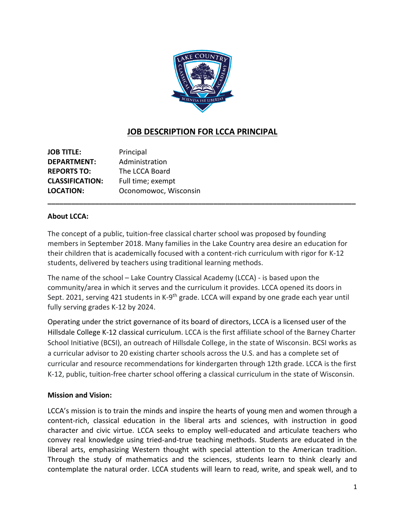

# **JOB DESCRIPTION FOR LCCA PRINCIPAL**

**JOB TITLE:** Principal **DEPARTMENT:** Administration **REPORTS TO:** The LCCA Board **CLASSIFICATION:** Full time; exempt **LOCATION:** Oconomowoc, Wisconsin

### **About LCCA:**

The concept of a public, tuition-free classical charter school was proposed by founding members in September 2018. Many families in the Lake Country area desire an education for their children that is academically focused with a content-rich curriculum with rigor for K-12 students, delivered by teachers using traditional learning methods.

**\_\_\_\_\_\_\_\_\_\_\_\_\_\_\_\_\_\_\_\_\_\_\_\_\_\_\_\_\_\_\_\_\_\_\_\_\_\_\_\_\_\_\_\_\_\_\_\_\_\_\_\_\_\_\_\_\_\_\_\_\_\_\_\_\_\_\_\_\_\_\_\_\_\_\_\_\_\_**

The name of the school – Lake Country Classical Academy (LCCA) - is based upon the community/area in which it serves and the curriculum it provides. LCCA opened its doors in Sept. 2021, serving 421 students in K-9<sup>th</sup> grade. LCCA will expand by one grade each year until fully serving grades K-12 by 2024.

Operating under the strict governance of its board of directors, LCCA is a licensed user of the Hillsdale College K-12 classical curriculum. LCCA is the first affiliate school of the Barney Charter School Initiative (BCSI), an outreach of Hillsdale College, in the state of Wisconsin. BCSI works as a curricular advisor to 20 existing charter schools across the U.S. and has a complete set of curricular and resource recommendations for kindergarten through 12th grade. LCCA is the first K-12, public, tuition-free charter school offering a classical curriculum in the state of Wisconsin.

#### **Mission and Vision:**

LCCA's mission is to train the minds and inspire the hearts of young men and women through a content-rich, classical education in the liberal arts and sciences, with instruction in good character and civic virtue. LCCA seeks to employ well-educated and articulate teachers who convey real knowledge using tried-and-true teaching methods. Students are educated in the liberal arts, emphasizing Western thought with special attention to the American tradition. Through the study of mathematics and the sciences, students learn to think clearly and contemplate the natural order. LCCA students will learn to read, write, and speak well, and to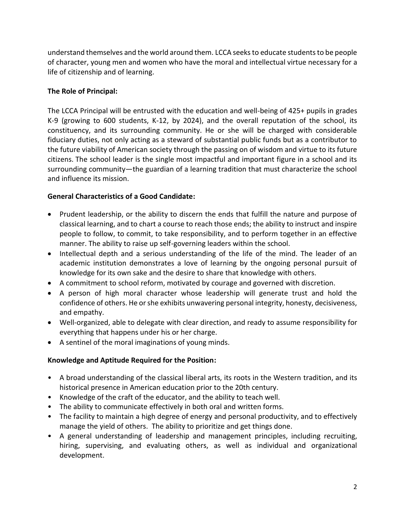understand themselves and the world around them. LCCA seeks to educate students to be people of character, young men and women who have the moral and intellectual virtue necessary for a life of citizenship and of learning.

# **The Role of Principal:**

The LCCA Principal will be entrusted with the education and well-being of 425+ pupils in grades K-9 (growing to 600 students, K-12, by 2024), and the overall reputation of the school, its constituency, and its surrounding community. He or she will be charged with considerable fiduciary duties, not only acting as a steward of substantial public funds but as a contributor to the future viability of American society through the passing on of wisdom and virtue to its future citizens. The school leader is the single most impactful and important figure in a school and its surrounding community—the guardian of a learning tradition that must characterize the school and influence its mission.

# **General Characteristics of a Good Candidate:**

- Prudent leadership, or the ability to discern the ends that fulfill the nature and purpose of classical learning, and to chart a course to reach those ends; the ability to instruct and inspire people to follow, to commit, to take responsibility, and to perform together in an effective manner. The ability to raise up self-governing leaders within the school.
- Intellectual depth and a serious understanding of the life of the mind. The leader of an academic institution demonstrates a love of learning by the ongoing personal pursuit of knowledge for its own sake and the desire to share that knowledge with others.
- A commitment to school reform, motivated by courage and governed with discretion.
- A person of high moral character whose leadership will generate trust and hold the confidence of others. He or she exhibits unwavering personal integrity, honesty, decisiveness, and empathy.
- Well-organized, able to delegate with clear direction, and ready to assume responsibility for everything that happens under his or her charge.
- A sentinel of the moral imaginations of young minds.

## **Knowledge and Aptitude Required for the Position:**

- A broad understanding of the classical liberal arts, its roots in the Western tradition, and its historical presence in American education prior to the 20th century.
- Knowledge of the craft of the educator, and the ability to teach well.
- The ability to communicate effectively in both oral and written forms.
- The facility to maintain a high degree of energy and personal productivity, and to effectively manage the yield of others. The ability to prioritize and get things done.
- A general understanding of leadership and management principles, including recruiting, hiring, supervising, and evaluating others, as well as individual and organizational development.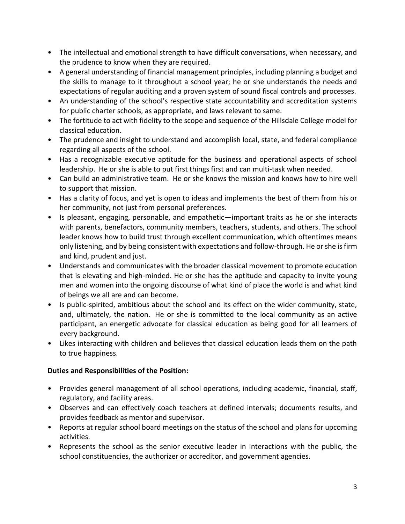- The intellectual and emotional strength to have difficult conversations, when necessary, and the prudence to know when they are required.
- A general understanding of financial management principles, including planning a budget and the skills to manage to it throughout a school year; he or she understands the needs and expectations of regular auditing and a proven system of sound fiscal controls and processes.
- An understanding of the school's respective state accountability and accreditation systems for public charter schools, as appropriate, and laws relevant to same.
- The fortitude to act with fidelity to the scope and sequence of the Hillsdale College model for classical education.
- The prudence and insight to understand and accomplish local, state, and federal compliance regarding all aspects of the school.
- Has a recognizable executive aptitude for the business and operational aspects of school leadership. He or she is able to put first things first and can multi-task when needed.
- Can build an administrative team. He or she knows the mission and knows how to hire well to support that mission.
- Has a clarity of focus, and yet is open to ideas and implements the best of them from his or her community, not just from personal preferences.
- Is pleasant, engaging, personable, and empathetic—important traits as he or she interacts with parents, benefactors, community members, teachers, students, and others. The school leader knows how to build trust through excellent communication, which oftentimes means only listening, and by being consistent with expectations and follow-through. He or she is firm and kind, prudent and just.
- Understands and communicates with the broader classical movement to promote education that is elevating and high-minded. He or she has the aptitude and capacity to invite young men and women into the ongoing discourse of what kind of place the world is and what kind of beings we all are and can become.
- Is public-spirited, ambitious about the school and its effect on the wider community, state, and, ultimately, the nation. He or she is committed to the local community as an active participant, an energetic advocate for classical education as being good for all learners of every background.
- Likes interacting with children and believes that classical education leads them on the path to true happiness.

## **Duties and Responsibilities of the Position:**

- Provides general management of all school operations, including academic, financial, staff, regulatory, and facility areas.
- Observes and can effectively coach teachers at defined intervals; documents results, and provides feedback as mentor and supervisor.
- Reports at regular school board meetings on the status of the school and plans for upcoming activities.
- Represents the school as the senior executive leader in interactions with the public, the school constituencies, the authorizer or accreditor, and government agencies.